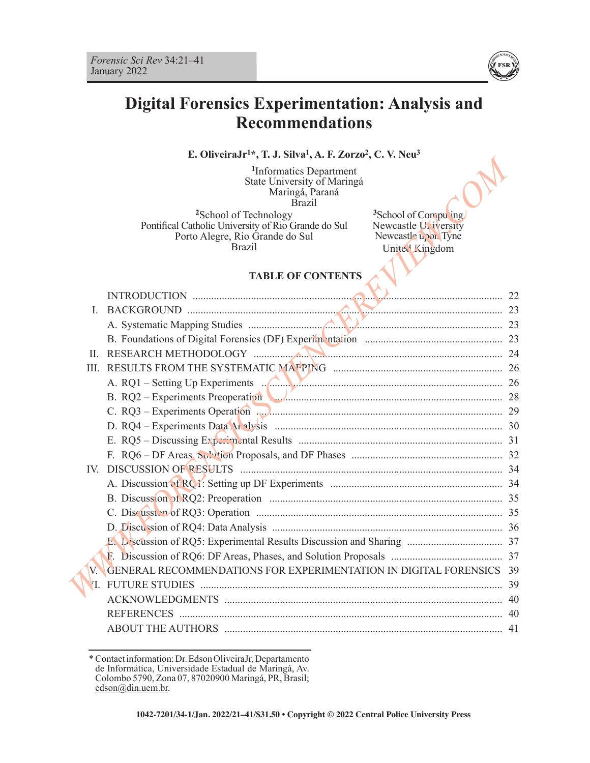

## **Digital Forensics Experimentation: Analysis and Recommendations**

### **E. OliveiraJr1\*, T. J. Silva1, A. F. Zorzo2, C. V. Neu3**

|              | $, 1.9.9$ $\mu$ $\alpha$ , $\Lambda$ . $\mu$ $\mu$ $\sigma$                                                                                                                                                                                       |  |
|--------------|---------------------------------------------------------------------------------------------------------------------------------------------------------------------------------------------------------------------------------------------------|--|
|              | <sup>1</sup> Informatics Department<br>State University of Maringá<br>Maringá, Paraná<br><b>Brazil</b>                                                                                                                                            |  |
|              | <sup>2</sup> School of Technology<br><sup>3</sup> School of Compu ing<br>Newcastle University<br>Pontifical Catholic University of Rio Grande do Sul<br>Newcastle upon Tyne<br>Porto Alegre, Rio Grande do Sul<br><b>Brazil</b><br>United Kingdom |  |
|              | <b>TABLE OF CONTENTS</b>                                                                                                                                                                                                                          |  |
|              |                                                                                                                                                                                                                                                   |  |
| $\mathbf{L}$ | BACKGROUND 23                                                                                                                                                                                                                                     |  |
|              |                                                                                                                                                                                                                                                   |  |
|              |                                                                                                                                                                                                                                                   |  |
| $\mathbf{H}$ |                                                                                                                                                                                                                                                   |  |
|              |                                                                                                                                                                                                                                                   |  |
|              |                                                                                                                                                                                                                                                   |  |
|              | B. RQ2 - Experiments Preoperation                                                                                                                                                                                                                 |  |
|              |                                                                                                                                                                                                                                                   |  |
|              |                                                                                                                                                                                                                                                   |  |
|              |                                                                                                                                                                                                                                                   |  |
|              |                                                                                                                                                                                                                                                   |  |
|              |                                                                                                                                                                                                                                                   |  |
|              |                                                                                                                                                                                                                                                   |  |
|              |                                                                                                                                                                                                                                                   |  |
|              |                                                                                                                                                                                                                                                   |  |
|              |                                                                                                                                                                                                                                                   |  |
|              |                                                                                                                                                                                                                                                   |  |
|              |                                                                                                                                                                                                                                                   |  |
| $V_{\cdot}$  | GENERAL RECOMMENDATIONS FOR EXPERIMENTATION IN DIGITAL FORENSICS 39                                                                                                                                                                               |  |
|              |                                                                                                                                                                                                                                                   |  |
|              |                                                                                                                                                                                                                                                   |  |
|              |                                                                                                                                                                                                                                                   |  |
|              |                                                                                                                                                                                                                                                   |  |

<sup>\*</sup> Contact information: Dr. Edson OliveiraJr, Departamento de Informática, Universidade Estadual de Maringá, Av. Colombo 5790, Zona 07, 87020900 Maringá, PR, Brasil; edson@din.uem.br.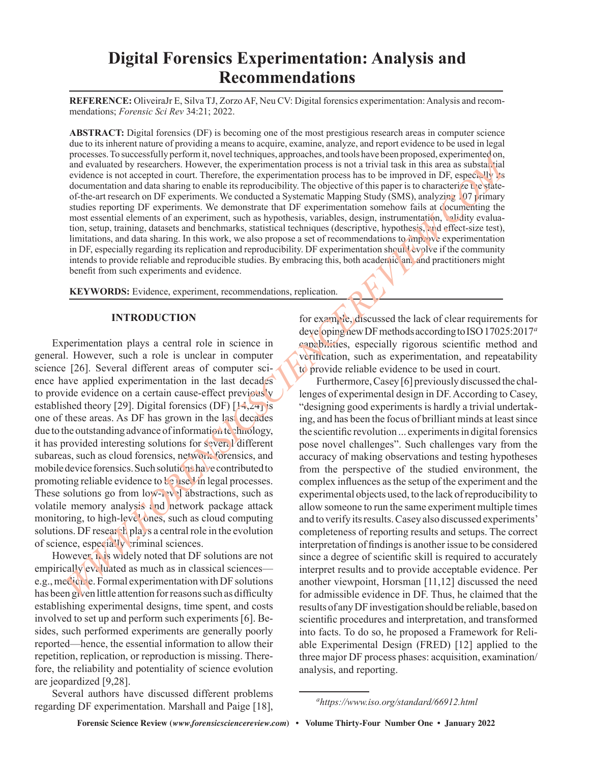# **Digital Forensics Experimentation: Analysis and Recommendations**

**REFERENCE:** OliveiraJr E, Silva TJ, Zorzo AF, Neu CV: Digital forensics experimentation: Analysis and recommendations; *Forensic Sci Rev* 34:21; 2022.

**ABSTRACT:** Digital forensics (DF) is becoming one of the most prestigious research areas in computer science due to its inherent nature of providing a means to acquire, examine, analyze, and report evidence to be used in legal processes. To successfully perform it, novel techniques, approaches, and tools have been proposed, experimented on, and evaluated by researchers. However, the experimentation process is not a trivial task in this area as substantial evidence is not accepted in court. Therefore, the experimentation process has to be improved in DF, especially its documentation and data sharing to enable its reproducibility. The objective of this paper is to characterize the stateof-the-art research on DF experiments. We conducted a Systematic Mapping Study (SMS), analyzing 107 primary studies reporting DF experiments. We demonstrate that DF experimentation somehow fails at documenting the most essential elements of an experiment, such as hypothesis, variables, design, instrumentation, validity evaluation, setup, training, datasets and benchmarks, statistical techniques (descriptive, hypothesis, and effect-size test), limitations, and data sharing. In this work, we also propose a set of recommendations to improve experimentation in DF, especially regarding its replication and reproducibility. DF experimentation should evolve if the community intends to provide reliable and reproducible studies. By embracing this, both academic and and practitioners might benefit from such experiments and evidence. Forcess in the acceleration in the bit decodes in the process of the state and the state and acceleration of the state and acceleration of the state and acceleration of the state and acceleration of the state of the state

**KEYWORDS:** Evidence, experiment, recommendations, replication.

### **INTRODUCTION**

Experimentation plays a central role in science in general. However, such a role is unclear in computer science [26]. Several different areas of computer science have applied experimentation in the last decades to provide evidence on a certain cause-effect previous'v established theory [29]. Digital forensics (DF)  $[14, 24]$  is one of these areas. As DF has grown in the last decades due to the outstanding advance of information technology, it has provided interesting solutions for several different subareas, such as cloud forensics, network forensics, and mobile device forensics. Such solutions have contributed to promoting reliable evidence to be used in legal processes. These solutions go from  $\text{low-}$   $\cdot \text{v}$  abstractions, such as volatile memory analysis and network package attack monitoring, to high-level ones, such as cloud computing solutions. DF research plays a central role in the evolution of science, especially criminal sciences.

However, it is widely noted that DF solutions are not empirically evaluated as much as in classical sciences e.g., medicine. Formal experimentation with DF solutions has been given little attention for reasons such as difficulty establishing experimental designs, time spent, and costs involved to set up and perform such experiments [6]. Besides, such performed experiments are generally poorly reported—hence, the essential information to allow their repetition, replication, or reproduction is missing. Therefore, the reliability and potentiality of science evolution are jeopardized [9,28].

Several authors have discussed different problems regarding DF experimentation. Marshall and Paige [18], for example, discussed the lack of clear requirements for developing new DF methods according to ISO 17025:2017*<sup>a</sup>* capabilities, especially rigorous scientific method and verification, such as experimentation, and repeatability to provide reliable evidence to be used in court.

Furthermore, Casey [6] previously discussed the challenges of experimental design in DF. According to Casey, "designing good experiments is hardly a trivial undertaking, and has been the focus of brilliant minds at least since the scientific revolution ... experiments in digital forensics pose novel challenges". Such challenges vary from the accuracy of making observations and testing hypotheses from the perspective of the studied environment, the complex influences as the setup of the experiment and the experimental objects used, to the lack of reproducibility to allow someone to run the same experiment multiple times and to verify its results. Casey also discussed experiments' completeness of reporting results and setups. The correct interpretation of findings is another issue to be considered since a degree of scientific skill is required to accurately interpret results and to provide acceptable evidence. Per another viewpoint, Horsman [11,12] discussed the need for admissible evidence in DF. Thus, he claimed that the results of any DF investigation should be reliable, based on scientific procedures and interpretation, and transformed into facts. To do so, he proposed a Framework for Reliable Experimental Design (FRED) [12] applied to the three major DF process phases: acquisition, examination/ analysis, and reporting.

*ahttps://www.iso.org/standard/66912.html*